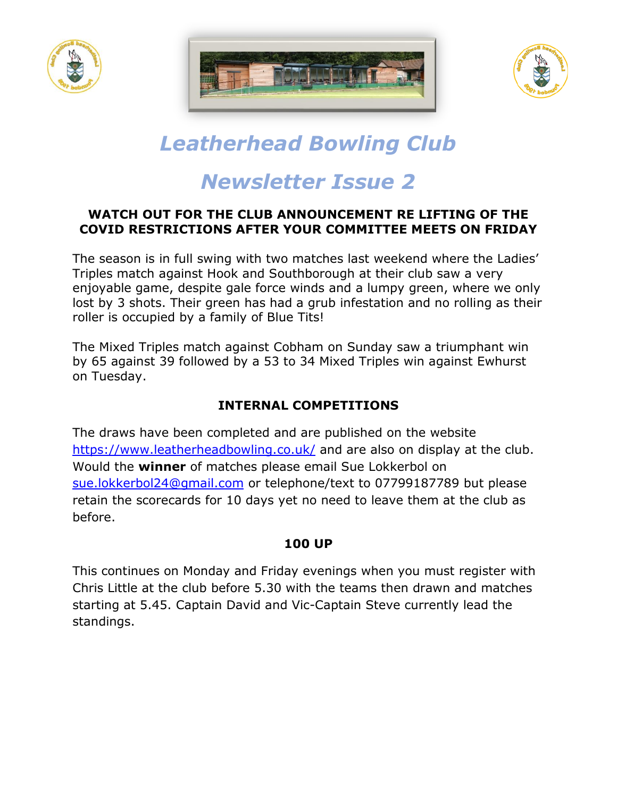





# *Leatherhead Bowling Club*

# *Newsletter Issue 2*

#### **WATCH OUT FOR THE CLUB ANNOUNCEMENT RE LIFTING OF THE COVID RESTRICTIONS AFTER YOUR COMMITTEE MEETS ON FRIDAY**

The season is in full swing with two matches last weekend where the Ladies' Triples match against Hook and Southborough at their club saw a very enjoyable game, despite gale force winds and a lumpy green, where we only lost by 3 shots. Their green has had a grub infestation and no rolling as their roller is occupied by a family of Blue Tits!

The Mixed Triples match against Cobham on Sunday saw a triumphant win by 65 against 39 followed by a 53 to 34 Mixed Triples win against Ewhurst on Tuesday.

# **INTERNAL COMPETITIONS**

The draws have been completed and are published on the website <https://www.leatherheadbowling.co.uk/> and are also on display at the club. Would the **winner** of matches please email Sue Lokkerbol on [sue.lokkerbol24@gmail.com](mailto:sue.lokkerbol24@gmail.com) or telephone/text to 07799187789 but please retain the scorecards for 10 days yet no need to leave them at the club as before.

# **100 UP**

This continues on Monday and Friday evenings when you must register with Chris Little at the club before 5.30 with the teams then drawn and matches starting at 5.45. Captain David and Vic-Captain Steve currently lead the standings.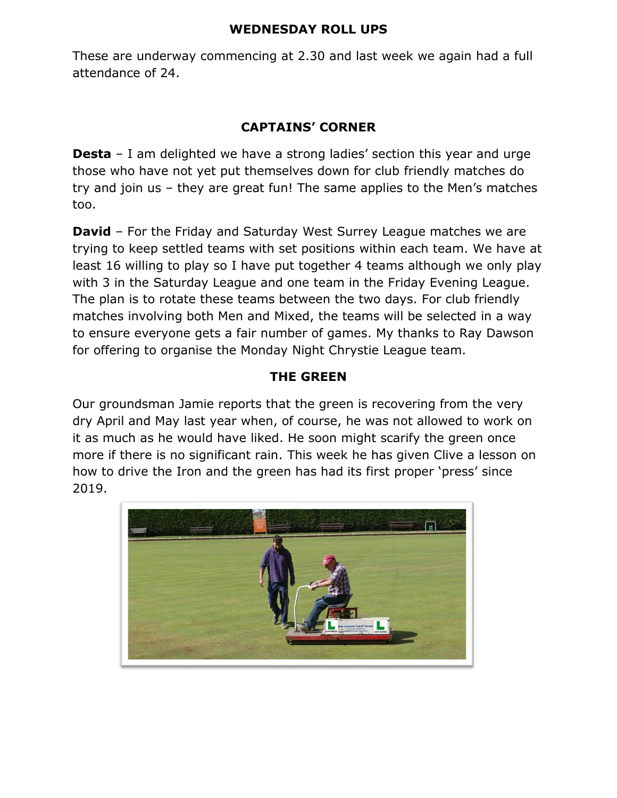#### **WEDNESDAY ROLL UPS**

These are underway commencing at 2.30 and last week we again had a full attendance of 24.

### **CAPTAINS' CORNER**

**Desta** – I am delighted we have a strong ladies' section this year and urge those who have not yet put themselves down for club friendly matches do try and join us – they are great fun! The same applies to the Men's matches too.

**David** – For the Friday and Saturday West Surrey League matches we are trying to keep settled teams with set positions within each team. We have at least 16 willing to play so I have put together 4 teams although we only play with 3 in the Saturday League and one team in the Friday Evening League. The plan is to rotate these teams between the two days. For club friendly matches involving both Men and Mixed, the teams will be selected in a way to ensure everyone gets a fair number of games. My thanks to Ray Dawson for offering to organise the Monday Night Chrystie League team.

#### **THE GREEN**

Our groundsman Jamie reports that the green is recovering from the very dry April and May last year when, of course, he was not allowed to work on it as much as he would have liked. He soon might scarify the green once more if there is no significant rain. This week he has given Clive a lesson on how to drive the Iron and the green has had its first proper 'press' since 2019.